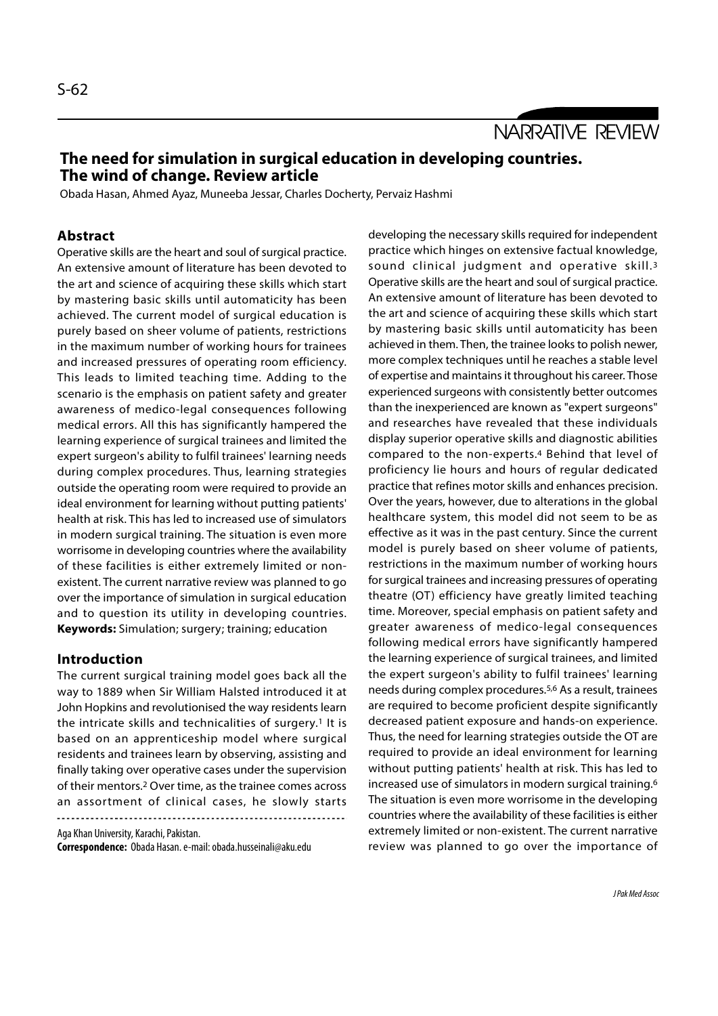NARRATIVE REVIEW

# The need for simulation in surgical education in developing countries. The wind of change. Review article

Obada Hasan, Ahmed Ayaz, Muneeba Jessar, Charles Docherty, Pervaiz Hashmi

# Abstract

Operative skills are the heart and soul of surgical practice. An extensive amount of literature has been devoted to the art and science of acquiring these skills which start by mastering basic skills until automaticity has been achieved. The current model of surgical education is purely based on sheer volume of patients, restrictions in the maximum number of working hours for trainees and increased pressures of operating room efficiency. This leads to limited teaching time. Adding to the scenario is the emphasis on patient safety and greater awareness of medico-legal consequences following medical errors. All this has significantly hampered the learning experience of surgical trainees and limited the expert surgeon's ability to fulfil trainees' learning needs during complex procedures. Thus, learning strategies outside the operating room were required to provide an ideal environment for learning without putting patients' health at risk. This has led to increased use of simulators in modern surgical training. The situation is even more worrisome in developing countries where the availability of these facilities is either extremely limited or nonexistent. The current narrative review was planned to go over the importance of simulation in surgical education and to question its utility in developing countries. Keywords: Simulation; surgery; training; education

### Introduction

The current surgical training model goes back all the way to 1889 when Sir William Halsted introduced it at John Hopkins and revolutionised the way residents learn the intricate skills and technicalities of surgery.1 It is based on an apprenticeship model where surgical residents and trainees learn by observing, assisting and finally taking over operative cases under the supervision of their mentors.2 Over time, as the trainee comes across an assortment of clinical cases, he slowly starts 

Aga Khan University, Karachi, Pakistan.

Correspondence: Obada Hasan. e-mail: obada.husseinali@aku.edu

developing the necessary skills required for independent practice which hinges on extensive factual knowledge, sound clinical judgment and operative skill.3 Operative skills are the heart and soul of surgical practice. An extensive amount of literature has been devoted to the art and science of acquiring these skills which start by mastering basic skills until automaticity has been achieved in them. Then, the trainee looks to polish newer, more complex techniques until he reaches a stable level of expertise and maintains it throughout his career. Those experienced surgeons with consistently better outcomes than the inexperienced are known as "expert surgeons" and researches have revealed that these individuals display superior operative skills and diagnostic abilities compared to the non-experts.4 Behind that level of proficiency lie hours and hours of regular dedicated practice that refines motor skills and enhances precision. Over the years, however, due to alterations in the global healthcare system, this model did not seem to be as effective as it was in the past century. Since the current model is purely based on sheer volume of patients, restrictions in the maximum number of working hours for surgical trainees and increasing pressures of operating theatre (OT) efficiency have greatly limited teaching time. Moreover, special emphasis on patient safety and greater awareness of medico-legal consequences following medical errors have significantly hampered the learning experience of surgical trainees, and limited the expert surgeon's ability to fulfil trainees' learning needs during complex procedures.5,6 As a result, trainees are required to become proficient despite significantly decreased patient exposure and hands-on experience. Thus, the need for learning strategies outside the OT are required to provide an ideal environment for learning without putting patients' health at risk. This has led to increased use of simulators in modern surgical training.6 The situation is even more worrisome in the developing countries where the availability of these facilities is either extremely limited or non-existent. The current narrative review was planned to go over the importance of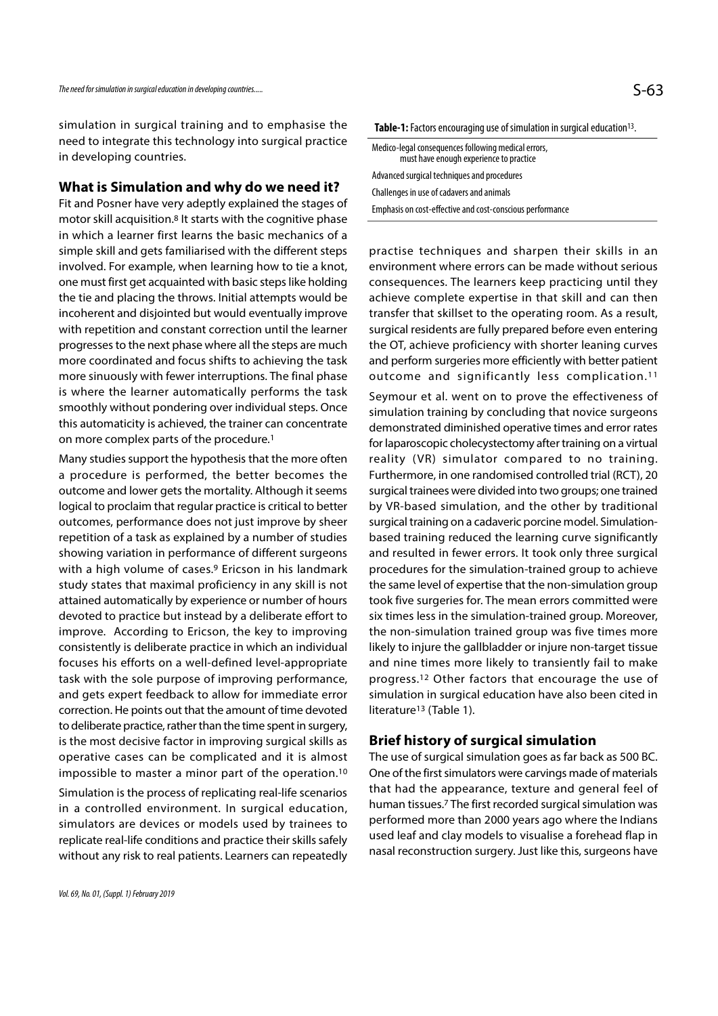simulation in surgical training and to emphasise the need to integrate this technology into surgical practice in developing countries.

### What is Simulation and why do we need it?

Fit and Posner have very adeptly explained the stages of motor skill acquisition.8 It starts with the cognitive phase in which a learner first learns the basic mechanics of a simple skill and gets familiarised with the different steps involved. For example, when learning how to tie a knot, one must first get acquainted with basic steps like holding the tie and placing the throws. Initial attempts would be incoherent and disjointed but would eventually improve with repetition and constant correction until the learner progresses to the next phase where all the steps are much more coordinated and focus shifts to achieving the task more sinuously with fewer interruptions. The final phase outcome and significantly less complication.<sup>11</sup> is where the learner automatically performs the task smoothly without pondering over individual steps. Once this automaticity is achieved, the trainer can concentrate on more complex parts of the procedure.1

a procedure is performed, the better becomes the outcome and lower gets the mortality. Although it seems logical to proclaim that regular practice is critical to better outcomes, performance does not just improve by sheer repetition of a task as explained by a number of studies showing variation in performance of different surgeons with a high volume of cases.9 Ericson in his landmark study states that maximal proficiency in any skill is not attained automatically by experience or number of hours devoted to practice but instead by a deliberate effort to improve. According to Ericson, the key to improving consistently is deliberate practice in which an individual focuses his efforts on a well-defined level-appropriate task with the sole purpose of improving performance, and gets expert feedback to allow for immediate error correction. He points out that the amount of time devoted to deliberate practice, rather than the time spent in surgery, is the most decisive factor in improving surgical skills as operative cases can be complicated and it is almost impossible to master a minor part of the operation.10

Simulation is the process of replicating real-life scenarios in a controlled environment. In surgical education, simulators are devices or models used by trainees to replicate real-life conditions and practice their skills safely without any risk to real patients. Learners can repeatedly Table-1: Factors encouraging use of simulation in surgical education<sup>13</sup>. .

| Medico-legal conseguences following medical errors,<br>must have enough experience to practice |  |
|------------------------------------------------------------------------------------------------|--|
| Advanced surgical techniques and procedures                                                    |  |
| Challenges in use of cadavers and animals                                                      |  |
| Emphasis on cost-effective and cost-conscious performance                                      |  |

practise techniques and sharpen their skills in an environment where errors can be made without serious consequences. The learners keep practicing until they achieve complete expertise in that skill and can then transfer that skillset to the operating room. As a result, surgical residents are fully prepared before even entering the OT, achieve proficiency with shorter leaning curves and perform surgeries more efficiently with better patient practise techniques and sharpen their skills in an<br>environment where errors can be made without serious<br>consequences. The learners keep practicing until they<br>achieve complete expertise in that skill and can then<br>transfer t

Many studies support the hypothesis that the more often reality (VR) simulator compared to no training. Seymour et al. went on to prove the effectiveness of simulation training by concluding that novice surgeons demonstrated diminished operative times and error rates for laparoscopic cholecystectomy after training on a virtual surgical residents are fully prepared before even entering<br>the OT, achieve proficiency with shorter leaning curves<br>and perform surgeries more efficiently with better patient<br>outcome and significantly less complication.<sup>11</sup> Furthermore, in one randomised controlled trial (RCT), 20 surgical trainees were divided into two groups; one trained by VR-based simulation, and the other by traditional surgical training on a cadaveric porcine model. Simulationbased training reduced the learning curve significantly and resulted in fewer errors. It took only three surgical procedures for the simulation-trained group to achieve the same level of expertise that the non-simulation group took five surgeries for. The mean errors committed were six times less in the simulation-trained group. Moreover, the non-simulation trained group was five times more likely to injure the gallbladder or injure non-target tissue and nine times more likely to transiently fail to make progress.12 Other factors that encourage the use of simulation in surgical education have also been cited in literature<sup>13</sup> (Table 1).

### Brief history of surgical simulation

The use of surgical simulation goes as far back as 500 BC. One of the first simulators were carvings made of materials that had the appearance, texture and general feel of human tissues.7 The first recorded surgical simulation was performed more than 2000 years ago where the Indians used leaf and clay models to visualise a forehead flap in nasal reconstruction surgery. Just like this, surgeons have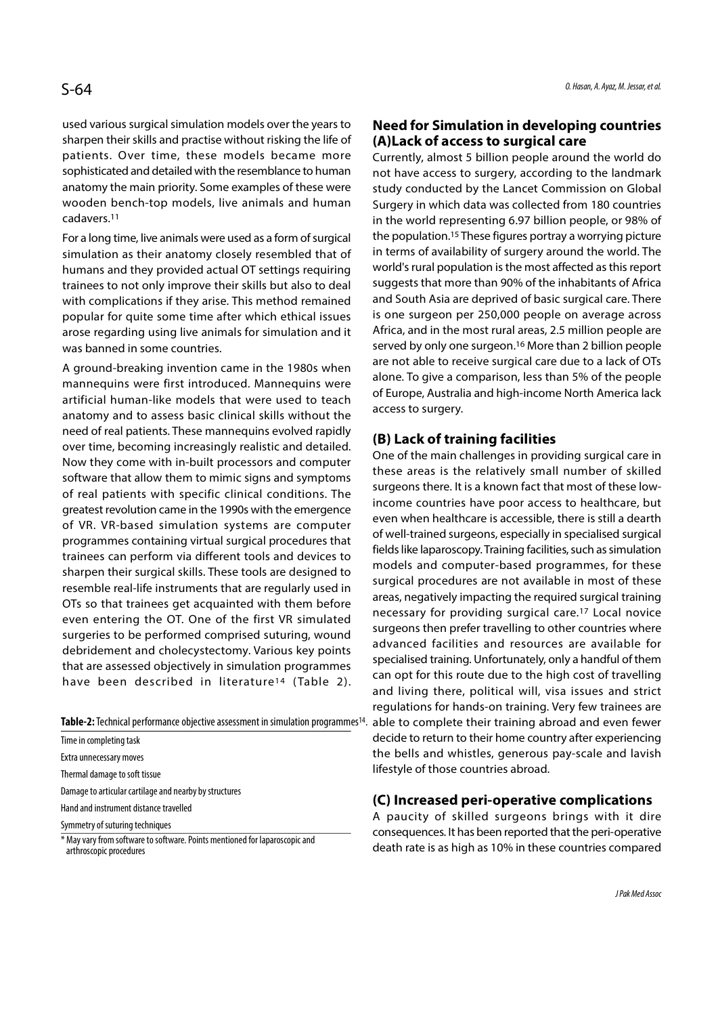used various surgical simulation models over the years to sharpen their skills and practise without risking the life of patients. Over time, these models became more sophisticated and detailed with the resemblance to human anatomy the main priority. Some examples of these were wooden bench-top models, live animals and human cadavers.11

For a long time, live animals were used as a form of surgical simulation as their anatomy closely resembled that of humans and they provided actual OT settings requiring trainees to not only improve their skills but also to deal with complications if they arise. This method remained popular for quite some time after which ethical issues arose regarding using live animals for simulation and it was banned in some countries.

A ground-breaking invention came in the 1980s when mannequins were first introduced. Mannequins were artificial human-like models that were used to teach anatomy and to assess basic clinical skills without the need of real patients. These mannequins evolved rapidly over time, becoming increasingly realistic and detailed. Now they come with in-built processors and computer software that allow them to mimic signs and symptoms of real patients with specific clinical conditions. The greatest revolution came in the 1990s with the emergence of VR. VR-based simulation systems are computer programmes containing virtual surgical procedures that trainees can perform via different tools and devices to sharpen their surgical skills. These tools are designed to resemble real-life instruments that are regularly used in OTs so that trainees get acquainted with them before even entering the OT. One of the first VR simulated surgeries to be performed comprised suturing, wound debridement and cholecystectomy. Various key points that are assessed objectively in simulation programmes programmes containing virtual surgical procedures that<br>trainees can perform via different tools and devices to<br>sharpen their surgical skills. These tools are designed to<br>resemble real-life instruments that are regularly us

Table-2: Technical performance objective assessment in simulation programmes<sup>14</sup>.

Time in completing task Extra unnecessary moves Thermal damage to soft tissue Damage to articular cartilage and nearby by structures Hand and instrument distance travelled Symmetry of suturing techniques

\* May vary from software to software. Points mentioned for laparoscopic and arthroscopic procedures

# Need for Simulation in developing countries (A)Lack of access to surgical care

Currently, almost 5 billion people around the world do not have access to surgery, according to the landmark study conducted by the Lancet Commission on Global Surgery in which data was collected from 180 countries in the world representing 6.97 billion people, or 98% of the population.15 These figures portray a worrying picture in terms of availability of surgery around the world. The world's rural population is the most affected as this report suggests that more than 90% of the inhabitants of Africa and South Asia are deprived of basic surgical care. There is one surgeon per 250,000 people on average across Africa, and in the most rural areas, 2.5 million people are served by only one surgeon.16 More than 2 billion people are not able to receive surgical care due to a lack of OTs alone. To give a comparison, less than 5% of the people of Europe, Australia and high-income North America lack access to surgery.

# (B) Lack of training facilities

.

One of the main challenges in providing surgical care in these areas is the relatively small number of skilled surgeons there. It is a known fact that most of these lowincome countries have poor access to healthcare, but even when healthcare is accessible, there is still a dearth of well-trained surgeons, especially in specialised surgical fields like laparoscopy. Training facilities, such as simulation models and computer-based programmes, for these surgical procedures are not available in most of these areas, negatively impacting the required surgical training necessary for providing surgical care.17 Local novice surgeons then prefer travelling to other countries where advanced facilities and resources are available for specialised training. Unfortunately, only a handful of them can opt for this route due to the high cost of travelling and living there, political will, visa issues and strict regulations for hands-on training. Very few trainees are able to complete their training abroad and even fewer decide to return to their home country after experiencing the bells and whistles, generous pay-scale and lavish lifestyle of those countries abroad.

### (C) Increased peri-operative complications

A paucity of skilled surgeons brings with it dire consequences. It has been reported that the peri-operative death rate is as high as 10% in these countries compared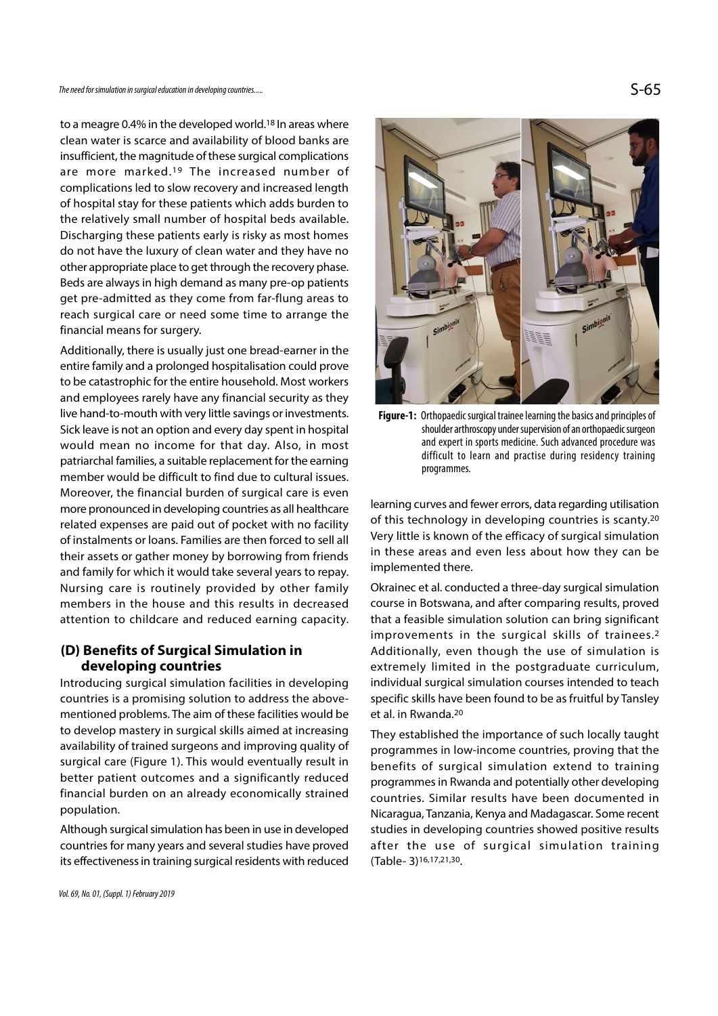to a meagre 0.4% in the developed world.18 In areas where clean water is scarce and availability of blood banks are insufficient, the magnitude of these surgical complications The need for simulation in surgical education in developing countries.....<br>
to a meagre 0.4% in the developed world.<sup>18</sup> In areas where<br>
clean water is scarce and availability of blood banks are<br>
insufficient, the magnitud complications led to slow recovery and increased length of hospital stay for these patients which adds burden to the relatively small number of hospital beds available. Discharging these patients early is risky as most homes do not have the luxury of clean water and they have no other appropriate place to get through the recovery phase. Beds are always in high demand as many pre-op patients get pre-admitted as they come from far-flung areas to reach surgical care or need some time to arrange the financial means for surgery. financial means for surgery.

Additionally, there is usually just one bread-earner in the entire family and a prolonged hospitalisation could prove to be catastrophic for the entire household. Most workers and employees rarely have any financial security as they live hand-to-mouth with very little savings or investments. Sick leave is not an option and every day spent in hospital would mean no income for that day. Also, in most patriarchal families, a suitable replacement for the earning member would be difficult to find due to cultural issues. Moreover, the financial burden of surgical care is even more pronounced in developing countries as all healthcare related expenses are paid out of pocket with no facility of instalments or loans. Families are then forced to sell all their assets or gather money by borrowing from friends and family for which it would take several years to repay. Nursing care is routinely provided by other family members in the house and this results in decreased attention to childcare and reduced earning capacity.

# (D) Benefits of Surgical Simulation in developing countries

Introducing surgical simulation facilities in developing countries is a promising solution to address the abovementioned problems. The aim of these facilities would be to develop mastery in surgical skills aimed at increasing availability of trained surgeons and improving quality of surgical care (Figure 1). This would eventually result in better patient outcomes and a significantly reduced financial burden on an already economically strained population.

Although surgical simulation has been in use in developed countries for many years and several studies have proved its effectiveness in training surgical residents with reduced



Figure-1: Orthopaedic surgical trainee learning the basics and principles of shoulder arthroscopy under supervision of an orthopaedic surgeon and expert in sports medicine. Such advanced procedure was difficult to learn and practise during residency training programmes.

learning curves and fewer errors, data regarding utilisation of this technology in developing countries is scanty.20 Very little is known of the efficacy of surgical simulation in these areas and even less about how they can be implemented there.

Okrainec et al. conducted a three-day surgical simulation course in Botswana, and after comparing results, proved that a feasible simulation solution can bring significant improvements in the surgical skills of trainees.2 Additionally, even though the use of simulation is extremely limited in the postgraduate curriculum, individual surgical simulation courses intended to teach specific skills have been found to be as fruitful by Tansley et al. in Rwanda.20

They established the importance of such locally taught programmes in low-income countries, proving that the benefits of surgical simulation extend to training programmes in Rwanda and potentially other developing countries. Similar results have been documented in Nicaragua, Tanzania, Kenya and Madagascar. Some recent studies in developing countries showed positive results after the use of surgical simulation training (Table- 3)16,17,21,30.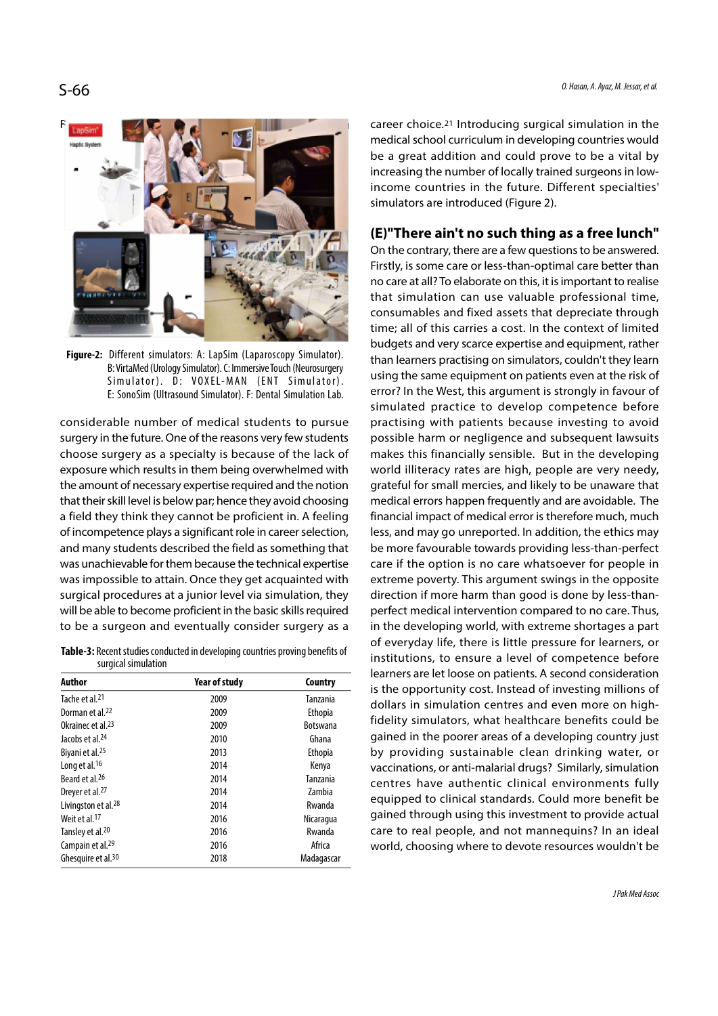

Figure-2: Different simulators: A: LapSim (Laparoscopy Simulator). B: VirtaMed (Urology Simulator). C: Immersive Touch (Neurosurgery Simulator). D: VOXEL-MAN (ENT Simulator). E: SonoSim (Ultrasound Simulator). F: Dental Simulation Lab.

considerable number of medical students to pursue surgery in the future. One of the reasons very few students choose surgery as a specialty is because of the lack of exposure which results in them being overwhelmed with the amount of necessary expertise required and the notion that their skill level is below par; hence they avoid choosing a field they think they cannot be proficient in. A feeling of incompetence plays a significant role in career selection, and many students described the field as something that was unachievable for them because the technical expertise was impossible to attain. Once they get acquainted with surgical procedures at a junior level via simulation, they will be able to become proficient in the basic skills required to be a surgeon and eventually consider surgery as a

Table-3: Recent studies conducted in developing countries proving benefits of surgical simulation

| Author                          | <b>Year of study</b> | Country         |
|---------------------------------|----------------------|-----------------|
| Tache et al. <sup>21</sup>      | 2009                 | Tanzania        |
| Dorman et al. <sup>22</sup>     | 2009                 | Ethopia         |
| Okrainec et al. <sup>23</sup>   | 2009                 | <b>Botswana</b> |
| Jacobs et al. <sup>24</sup>     | 2010                 | Ghana           |
| Biyani et al. <sup>25</sup>     | 2013                 | Ethopia         |
| Long et al. <sup>16</sup>       | 2014                 | Kenya           |
| Beard et al. <sup>26</sup>      | 2014                 | Tanzania        |
| Dreyer et al. <sup>27</sup>     | 2014                 | Zambia          |
| Livingston et al. <sup>28</sup> | 2014                 | Rwanda          |
| Weit et al. <sup>17</sup>       | 2016                 | Nicaragua       |
| Tansley et al. <sup>20</sup>    | 2016                 | Rwanda          |
| Campain et al. <sup>29</sup>    | 2016                 | Africa          |
| Ghesquire et al. <sup>30</sup>  | 2018                 | Madagascar      |

Furthermore, surgical simulation in the career choice.<sup>21</sup> Introducing surgical simulation in the medical school curriculum in developing countries would be a great addition and could prove to be a vital by increasing the number of locally trained surgeons in lowincome countries in the future. Different specialties' simulators are introduced (Figure 2).

# (E)"There ain't no such thing as a free lunch"

On the contrary, there are a few questions to be answered. Firstly, is some care or less-than-optimal care better than no care at all? To elaborate on this, it is important to realise that simulation can use valuable professional time, consumables and fixed assets that depreciate through time; all of this carries a cost. In the context of limited budgets and very scarce expertise and equipment, rather than learners practising on simulators, couldn't they learn using the same equipment on patients even at the risk of error? In the West, this argument is strongly in favour of simulated practice to develop competence before practising with patients because investing to avoid possible harm or negligence and subsequent lawsuits makes this financially sensible. But in the developing world illiteracy rates are high, people are very needy, grateful for small mercies, and likely to be unaware that medical errors happen frequently and are avoidable. The financial impact of medical error is therefore much, much less, and may go unreported. In addition, the ethics may be more favourable towards providing less-than-perfect care if the option is no care whatsoever for people in extreme poverty. This argument swings in the opposite direction if more harm than good is done by less-thanperfect medical intervention compared to no care. Thus, in the developing world, with extreme shortages a part of everyday life, there is little pressure for learners, or institutions, to ensure a level of competence before learners are let loose on patients. A second consideration is the opportunity cost. Instead of investing millions of dollars in simulation centres and even more on highfidelity simulators, what healthcare benefits could be gained in the poorer areas of a developing country just by providing sustainable clean drinking water, or vaccinations, or anti-malarial drugs? Similarly, simulation centres have authentic clinical environments fully equipped to clinical standards. Could more benefit be gained through using this investment to provide actual care to real people, and not mannequins? In an ideal world, choosing where to devote resources wouldn't be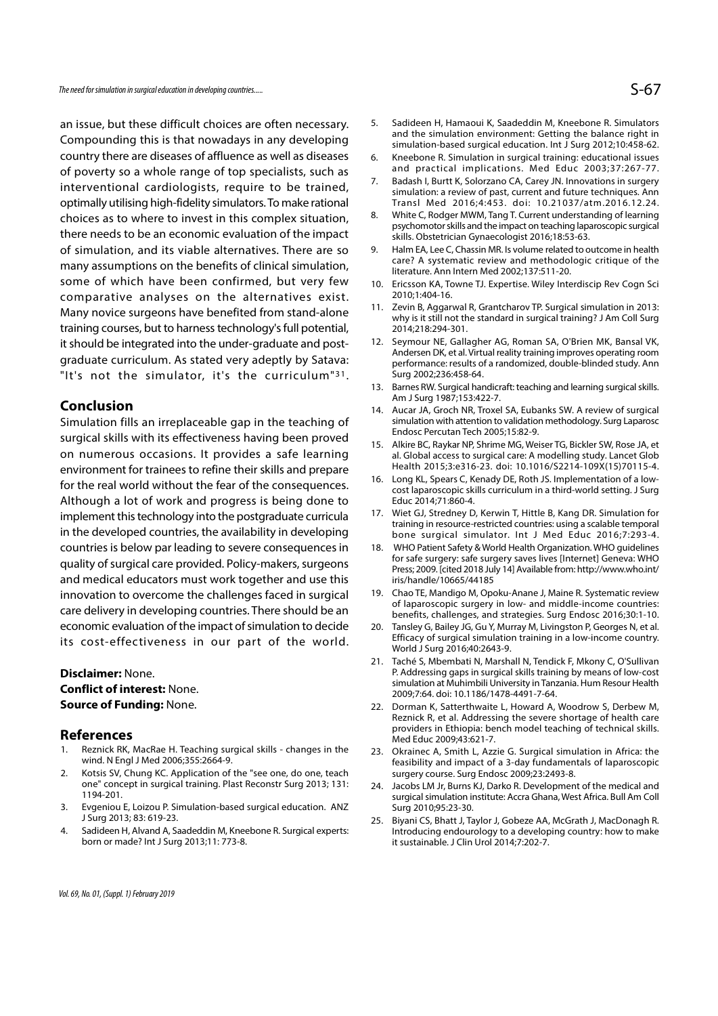The need for simulation in surgical education in developing countries.....

an issue, but these difficult choices are often necessary. Compounding this is that nowadays in any developing country there are diseases of affluence as well as diseases 6. Kneebone R. Simulation in surgical training: educational issues of poverty so a whole range of top specialists, such as and practical implications. Med Educ 2003;37:267-77.<br>Intermentional condial prints, require to be trained and the Badash I, Burtt K, Solorzano CA, Carey JN. Innovatio interventional cardiologists, require to be trained, optimally utilising high-fidelity simulators. To make rational Transl Med 2016;4:453. doi: 10.21037/atm.2016.12.24.<br>Choices as to where to invest in this complex situation 8. White C, Rodger MWM, Tang T. Current understand choices as to where to invest in this complex situation,  $8.$ there needs to be an economic evaluation of the impact of simulation, and its viable alternatives. There are so 9. Halm EA, Lee C, Chassin MR. Is volume related to outcome in health many assumptions on the benefits of clinical simulation, some of which have been confirmed, but very few 10. Ericsson KA, Towne TJ. Expertise. Wiley Interdiscip Rev Cogn Sci comparative analyses on the alternatives exist. <sup>2010;1:404-16.</sup><br>Manuparies surreans have benefited from stand alone. 11. Zevin B, Aggarwal R, Grantcharov TP. Surgical simulation in 2013: Many novice surgeons have benefited from stand-alone training courses, but to harness technology's full potential, it should be integrated into the under-graduate and postgraduate curriculum. As stated very adeptly by Satava: there needs to be an economic evaluation of the impact<br>
of simulation, and its viable alternatives. There are so<br>
many assumptions on the benefits of clinical simulation,<br>
some of which have been confirmed, but very few<br>
c

Simulation fills an irreplaceable gap in the teaching of surgical skills with its effectiveness having been proved<br>15. Alkire BC, Raykar NP, Shrime MG, Weiser TG, Bickler SW, Rose JA, et on numerous occasions. It provides a safe learning environment for trainees to refine their skills and prepare<br>16. Long KL, Spears C, Kenady DE, Roth JS. Implementation of a lowfor the real world without the fear of the consequences. Although a lot of work and progress is being done to implement this technology into the postgraduate curricula 17. Wiet GJ, Stredney D, Kerwin T, Hittle B, Kang DR. Simulation for in the developed countries, the availability in developing countries is below par leading to severe consequences in quality of surgical care provided. Policy-makers, surgeons and medical educators must work together and use this innovation to overcome the challenges faced in surgical 19. Chao TE, Mandigo M, Opoku-Anane J, Maine R. Systematic review care delivery in developing countries. There should be an economic evaluation of the impact of simulation to decide 20. Tansley G, Bailey JG, Gu Y, Murray M, Livingston P, Georges N, et al. its cost-effectiveness in our part of the world. Care delivery in developing countries. There should be an<br>
economic evaluation of the impact of simulation to decide<br>
its cost-effectiveness in our part of the world.<br>
Disclaimer: None.<br>
Pisching: Mone.<br>
Paddessine<br>
Confli

## Disclaimer: None. Conflict of interest: None. Source of Funding: None.

- References<br>1. Reznick RK, MacRae H. Teaching surgical skills changes in the wind. N Engl J Med 2006;355:2664-9.
- **2. Example 12. Application of the World Surge 2013**<br> **21. Taché Source of Funding:** None.<br> **21. Taché Source of Funding:** None.<br> **22.** Dorman K, Same simulation at Manusion at a 2009;7:64. doint<br> **22.** Dorman K, Same K, S one" concept in surgical training. Plast Reconstr Surg 2013; 131: 1194-201. **Disclaimer:** None.<br> **Source of Funding:** None.<br> **Source of Funding:** None.<br> **References**<br> **References**<br> **References**<br> **References**<br> **References**<br> **References**<br> **References**<br> **References**<br> **References**<br> **References**<br> **Refe Source of Funding:** None. 22.<br> **References**<br>
1. Reznick RK, MacRae H. Teaching surgical skills - changes in the<br>
23.<br>
wind. N Engl J Med 2006;355:2664-9.<br>
2. Kotsis SV, Chung KC. Application of the "see one, do one, teach
- J Surg 2013; 83: 619-23.
- born or made? Int J Surg 2013;11: 773-8.
- 5. Sadideen H, Hamaoui K, Saadeddin M, Kneebone R. Simulators<br>and the simulation environment: Getting the balance right in<br>simulation-based surgical education. Int J Surg 2012;10:458-62.<br>6. Kneebone R. Simulation in surgic and the simulation environment: Getting the balance right in simulation-based surgical education. Int J Surg 2012;10:458-62. 5. Sadideen H, Hamaoui K, Saadeddin M, Kneebone R. Simulators<br>and the simulation environment: Getting the balance right in<br>simulation-based surgical education. Int J Surg 2012;10:458-62.<br>6. Kneebone R. Simulation in surgic 5. Sadideen H, Hamaoui K, Saadeddin M, Kneebone R. Simulators<br>
and the simulation environment: Getting the balance right in<br>
simulation-based surgical education. Int J Surg 2012;10:458-62.<br>
6. Kneebone R. Simulation in sur **S-67**<br>
S. Sadideen H, Hamaoui K, Saadeddin M, Kneebone R. Simulators<br>
and the simulation environment: Getting the balance right in<br>
simulation-based surgical education. Int J Surg 2012;10:458-62.<br>
6. Kneebone R. Simulatio 5. Sadideen H, Hamaoui K, Saadeddin M, Kneebone R. Simulators<br>
and the simulation environment: Getting the balance right in<br>
simulation-based surgical education. Int J Surg 2012;10:458-62.<br>
6. Kneebone R. Simulation in sur
- and practical implications. Med Educ 2003;37:267-77.
- simulation: a review of past, current and future techniques. Ann Transl Med 2016;4:453. doi: 10.21037/atm.2016.12.24.
- psychomotor skills and the impact on teaching laparoscopic surgical skills. Obstetrician Gynaecologist 2016;18:53-63.
- care? A systematic review and methodologic critique of the literature. Ann Intern Med 2002;137:511-20. simulation-based surgical education. Int J Surg 2012;10:458-62.<br>
6. Kneebone R. Simulation in surgical training: educational issues<br>
and practical implications. Med Educ 2003;37:267-77.<br>
7. Badash I, Burtt K, Solorzano CA, 21. Badash I, Burt K, Solorzano CA, Carey JN. Innovations in surgery<br>
21. Badash I, Burtt K, Solorzano CA, Carey JN. Innovations in surgery<br>
simulation: a review of past, current and future techniques. Ann<br>
21. Transl Med.
- 2010;1:404-16.
- why is it still not the standard in surgical training? J Am Coll Surg 2014;218:294-301.
- Transl Med 2016;4:453. doi: 10.21037/atm.2016.12.24.<br>
8. White C, Rodger MWM, Tang T. Current understanding of learning<br>
psychomotor skills and the impact on teaching laparoscopic surgical<br>
skills. Obsetrician Gynaecologis Andersen DK, et al. Virtual reality training improves operating room performance: results of a randomized, double-blinded study. Ann Surg 2002;236:458-64. 9. Halm EA, Lee C, Chassin MR. Is volume related to outcome in health<br>
care? A systematic review and methodologic critique of the<br>
literature. Ann Intern Med 2002;137:511-20.<br>
10. Ericsson KA, Towne TJ. Expertise. Wiley In 11. Experiment Med 2002;137:511-20.<br>
10. Ericsson KA, Towne TJ. Expertise. Wiley Interdiscip Rev Cogn Sci<br>
10. 2010;1:404-16.<br>
2010;1:404-16.<br>
11. Zevin B, Aggarwal R, Grantcharov TP. Surgical simulation in 2013:<br>
11. Zevi 11. Zevin B, Aggarwal R, Grantcharov TP. Surgical simulation in 2013:<br>
why is it still not the standard in surgical training? J Am Coll Surg<br>
2014;218:294-301.<br>
12. Seymour NE, Gallagher AG, Roman SA, O'Brien MK, Bansal VK 12. Seymour NE, Gallagher AG, Roman SA, O'Brien MK, Bansal VK,<br>Andersen DK, et al. Virtual reality training improves operating room<br>performance: results of a randomized, double-blinded study. Ann<br>Surg 2002;236:458-64.<br>13.
- Am J Surg 1987;153:422-7.
- simulation with attention to validation methodology. Surg Laparosc Endosc Percutan Tech 2005;15:82-9.
- al. Global access to surgical care: A modelling study. Lancet Glob Health 2015;3:e316-23. doi: 10.1016/S2214-109X(15)70115-4. Surg 2002;236:458-64.<br>
13. Barnes RW. Surgical handicraft: teaching and learning surgical skills.<br>
Am J Surg 1987;153:422-7.<br>
14. Aucar JA, Groch NR, Troxel SA, Eubanks SW. A review of surgical<br>
simulation with attention t
- cost laparoscopic skills curriculum in a third-world setting. J Surg Educ 2014;71:860-4.
- training in resource-restricted countries: using a scalable temporal bone surgical simulator. Int J Med Educ 2016;7:293-4.
- 14. Aucar JA, Groch NR, Troxel SA, Eubanks SW. A review of surgical<br>
simulation with attention to validation methodology. Surg Laparosc<br>
Endosc Percutan Tech 2005;15:82-9.<br>
15. Alkire BC, Raykar NP, Shrime MG, Weiser TG, B for safe surgery: safe surgery saves lives [Internet] Geneva: WHO Press; 2009. [cited 2018 July 14] Available from: http://www.who.int/ iris/handle/10665/44185 al. Global access to surgical care: A modelling study. Lancet Glob<br>
Health 2015;3:e316-23. doi: 10.1016/S2214-109X(15)70115-4.<br>
16. Long KL, Spears C, Kenady DE, Roth JS. Implementation of a low-<br>
cost laparoscopic skills cost laparoscopic skills curriculum in a third-world setting. J Surg<br>Educ 2014;71:860-4.<br>17. Wiet GJ, Stredney D, Kerwin T, Hittle B, Kang DR. Simulation for<br>training in resource-restricted countries: using a scalable temp training in resource-restricted countries: using a scalable temporal<br>
bone surgical simulator. Int J Med Educ 2016;7:293-4.<br>
18. WHO Patient Safety & World Health Organization. WHO guidelines<br>
for safe surgery: safe surger
- of laparoscopic surgery in low- and middle-income countries: benefits, challenges, and strategies. Surg Endosc 2016;30:1-10.
- Efficacy of surgical simulation training in a low-income country. World J Surg 2016;40:2643-9.
- P. Addressing gaps in surgical skills training by means of low-cost simulation at Muhimbili University in Tanzania. Hum Resour Health 2009;7:64. doi: 10.1186/1478-4491-7-64.
- Press; 2009. [cited 2018 July 14] Available from: http://www.who.int/<br>
iris/handle/10665/44185<br>
19. Chao TE, Mandigo M, Opoku-Anane J, Maine R. Systematic review<br>
of laparoscopic surgery in low- and middle-income countries Reznick R, et al. Addressing the severe shortage of health care providers in Ethiopia: bench model teaching of technical skills. Med Educ 2009;43:621-7. benefits, challenges, and strategies. Surg Endosc 2016;30:1-10.<br>20. Tansley G, Bailey JG, Gu Y, Murray M, Livingston P, Georges N, et al.<br>Efficacy of surgical simulation training in a low-income country.<br>World J Surg 2016; World J Surg 2016;40:2643-9.<br>
21. Taché S, Mbembati N, Marshall N, Tendick F, Mkony C, O'Sullivan<br>
P. Addressing agas in surgical skills training by means of low-cost<br>
simulation at Muhimbili University in Tanzania. Hum Re simulation at Muhimbili University in Tanzania. Hum Resour Health<br>
2009;7:64. doi: 10.1186/1478-4491-7-64.<br>
22. Dorman K, Satterthwaite L, Howard A, Woodrow S, Derbew M,<br>
Reznick R, et al. Addressing the severe shortage of
- feasibility and impact of a 3-day fundamentals of laparoscopic surgery course. Surg Endosc 2009;23:2493-8.
- surgical simulation institute: Accra Ghana, West Africa. Bull Am Coll Surg 2010;95:23-30.
- Introducing endourology to a developing country: how to make it sustainable. J Clin Urol 2014;7:202-7.